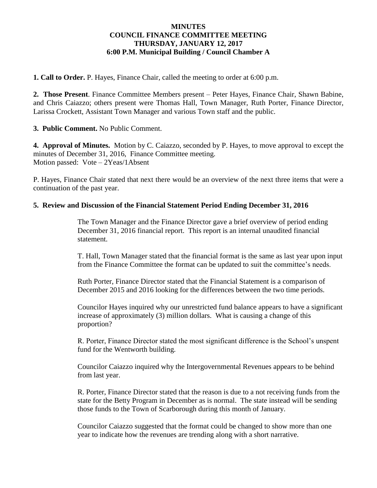# **MINUTES COUNCIL FINANCE COMMITTEE MEETING THURSDAY, JANUARY 12, 2017 6:00 P.M. Municipal Building / Council Chamber A**

**1. Call to Order.** P. Hayes, Finance Chair, called the meeting to order at 6:00 p.m.

**2. Those Present**. Finance Committee Members present – Peter Hayes, Finance Chair, Shawn Babine, and Chris Caiazzo; others present were Thomas Hall, Town Manager, Ruth Porter, Finance Director, Larissa Crockett, Assistant Town Manager and various Town staff and the public.

**3. Public Comment.** No Public Comment.

**4. Approval of Minutes.** Motion by C. Caiazzo, seconded by P. Hayes, to move approval to except the minutes of December 31, 2016, Finance Committee meeting. Motion passed: Vote – 2Yeas/1Absent

P. Hayes, Finance Chair stated that next there would be an overview of the next three items that were a continuation of the past year.

# **5. Review and Discussion of the Financial Statement Period Ending December 31, 2016**

The Town Manager and the Finance Director gave a brief overview of period ending December 31, 2016 financial report. This report is an internal unaudited financial statement.

T. Hall, Town Manager stated that the financial format is the same as last year upon input from the Finance Committee the format can be updated to suit the committee's needs.

Ruth Porter, Finance Director stated that the Financial Statement is a comparison of December 2015 and 2016 looking for the differences between the two time periods.

Councilor Hayes inquired why our unrestricted fund balance appears to have a significant increase of approximately (3) million dollars. What is causing a change of this proportion?

R. Porter, Finance Director stated the most significant difference is the School's unspent fund for the Wentworth building.

Councilor Caiazzo inquired why the Intergovernmental Revenues appears to be behind from last year.

R. Porter, Finance Director stated that the reason is due to a not receiving funds from the state for the Betty Program in December as is normal. The state instead will be sending those funds to the Town of Scarborough during this month of January.

Councilor Caiazzo suggested that the format could be changed to show more than one year to indicate how the revenues are trending along with a short narrative.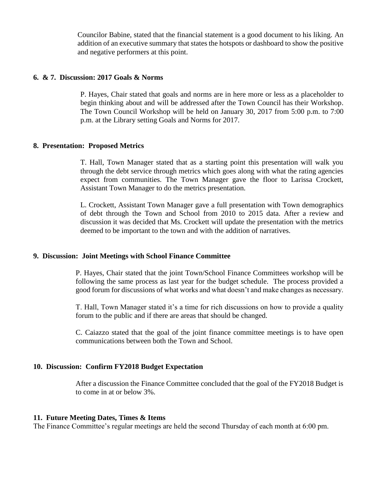Councilor Babine, stated that the financial statement is a good document to his liking. An addition of an executive summary that states the hotspots or dashboard to show the positive and negative performers at this point.

### **6. & 7. Discussion: 2017 Goals & Norms**

P. Hayes, Chair stated that goals and norms are in here more or less as a placeholder to begin thinking about and will be addressed after the Town Council has their Workshop. The Town Council Workshop will be held on January 30, 2017 from 5:00 p.m. to 7:00 p.m. at the Library setting Goals and Norms for 2017.

## **8. Presentation: Proposed Metrics**

T. Hall, Town Manager stated that as a starting point this presentation will walk you through the debt service through metrics which goes along with what the rating agencies expect from communities. The Town Manager gave the floor to Larissa Crockett, Assistant Town Manager to do the metrics presentation.

L. Crockett, Assistant Town Manager gave a full presentation with Town demographics of debt through the Town and School from 2010 to 2015 data. After a review and discussion it was decided that Ms. Crockett will update the presentation with the metrics deemed to be important to the town and with the addition of narratives.

## **9. Discussion: Joint Meetings with School Finance Committee**

P. Hayes, Chair stated that the joint Town/School Finance Committees workshop will be following the same process as last year for the budget schedule. The process provided a good forum for discussions of what works and what doesn't and make changes as necessary.

T. Hall, Town Manager stated it's a time for rich discussions on how to provide a quality forum to the public and if there are areas that should be changed.

C. Caiazzo stated that the goal of the joint finance committee meetings is to have open communications between both the Town and School.

### **10. Discussion: Confirm FY2018 Budget Expectation**

After a discussion the Finance Committee concluded that the goal of the FY2018 Budget is to come in at or below 3%.

### **11. Future Meeting Dates, Times & Items**

The Finance Committee's regular meetings are held the second Thursday of each month at 6:00 pm.